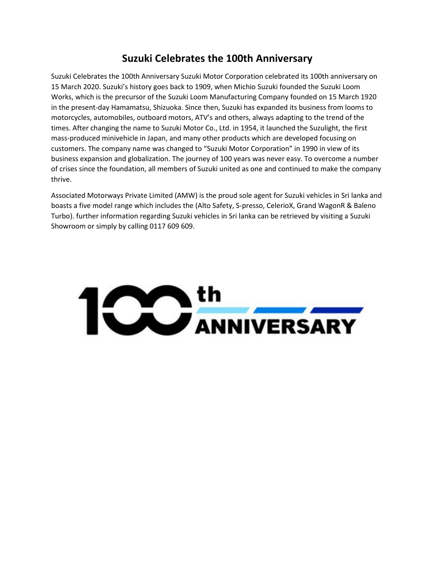## **Suzuki Celebrates the 100th Anniversary**

Suzuki Celebrates the 100th Anniversary Suzuki Motor Corporation celebrated its 100th anniversary on 15 March 2020. Suzuki's history goes back to 1909, when Michio Suzuki founded the Suzuki Loom Works, which is the precursor of the Suzuki Loom Manufacturing Company founded on 15 March 1920 in the present-day Hamamatsu, Shizuoka. Since then, Suzuki has expanded its business from looms to motorcycles, automobiles, outboard motors, ATV's and others, always adapting to the trend of the times. After changing the name to Suzuki Motor Co., Ltd. in 1954, it launched the Suzulight, the first mass-produced minivehicle in Japan, and many other products which are developed focusing on customers. The company name was changed to "Suzuki Motor Corporation" in 1990 in view of its business expansion and globalization. The journey of 100 years was never easy. To overcome a number of crises since the foundation, all members of Suzuki united as one and continued to make the company thrive.

Associated Motorways Private Limited (AMW) is the proud sole agent for Suzuki vehicles in Sri lanka and boasts a five model range which includes the (Alto Safety, S-presso, CelerioX, Grand WagonR & Baleno Turbo). further information regarding Suzuki vehicles in Sri lanka can be retrieved by visiting a Suzuki Showroom or simply by calling 0117 609 609.